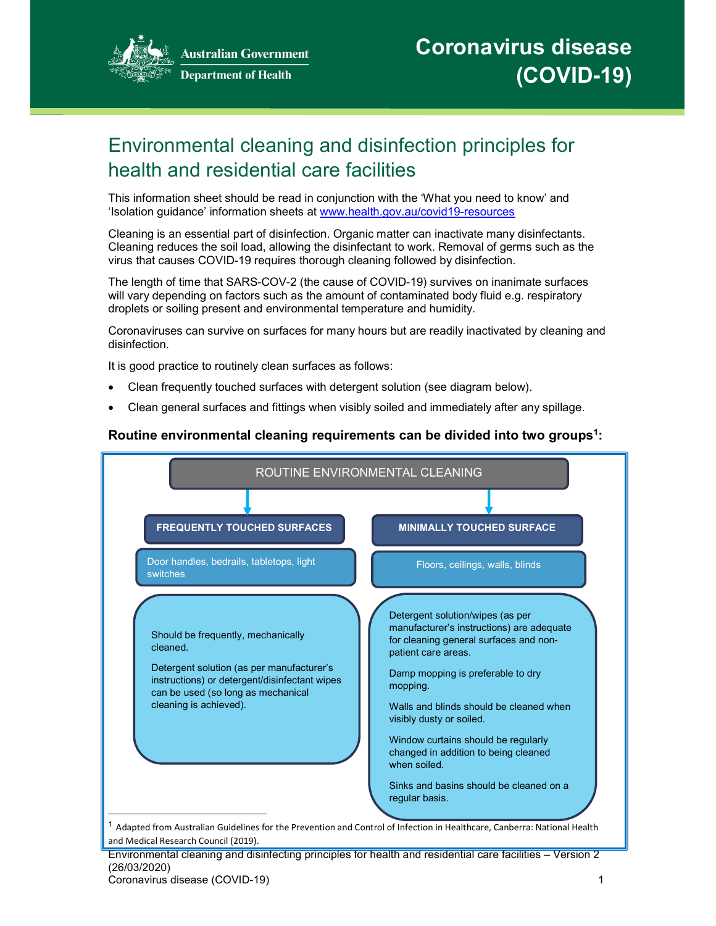

**Australian Government Department of Health** 

# Environmental cleaning and disinfection principles for health and residential care facilities

This information sheet should be read in conjunction with the 'What you need to know' and 'Isolation guidance' information sheets at www.health.gov.au/covid19-resources

Cleaning is an essential part of disinfection. Organic matter can inactivate many disinfectants. Cleaning reduces the soil load, allowing the disinfectant to work. Removal of germs such as the virus that causes COVID-19 requires thorough cleaning followed by disinfection.

The length of time that SARS-COV-2 (the cause of COVID-19) survives on inanimate surfaces will vary depending on factors such as the amount of contaminated body fluid e.g. respiratory droplets or soiling present and environmental temperature and humidity.

Coronaviruses can survive on surfaces for many hours but are readily inactivated by cleaning and disinfection.

It is good practice to routinely clean surfaces as follows:

- Clean frequently touched surfaces with detergent solution (see diagram below).
- Clean general surfaces and fittings when visibly soiled and immediately after any spillage.

### Routine environmental cleaning requirements can be divided into two groups<sup>1</sup>:



Environmental cleaning and disinfecting principles for health and residential care facilities – Version 2 (26/03/2020) Coronavirus disease (COVID-19) 1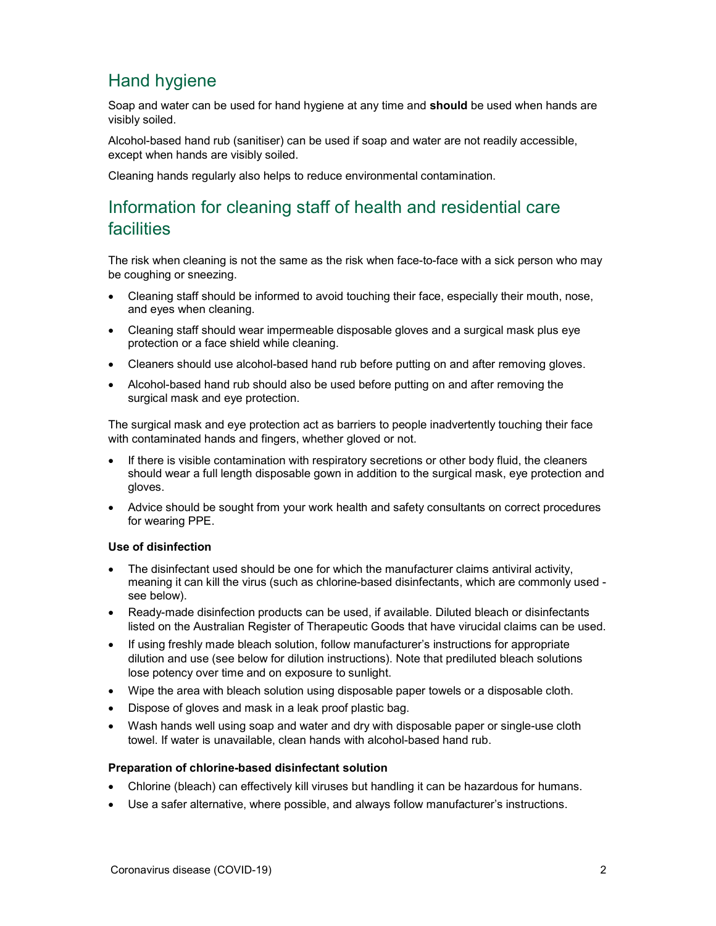## Hand hygiene

Soap and water can be used for hand hygiene at any time and **should** be used when hands are visibly soiled.

Alcohol-based hand rub (sanitiser) can be used if soap and water are not readily accessible, except when hands are visibly soiled.

Cleaning hands regularly also helps to reduce environmental contamination.

## Information for cleaning staff of health and residential care facilities

The risk when cleaning is not the same as the risk when face-to-face with a sick person who may be coughing or sneezing.

- Cleaning staff should be informed to avoid touching their face, especially their mouth, nose, and eyes when cleaning.
- Cleaning staff should wear impermeable disposable gloves and a surgical mask plus eye protection or a face shield while cleaning.
- Cleaners should use alcohol-based hand rub before putting on and after removing gloves.
- Alcohol-based hand rub should also be used before putting on and after removing the surgical mask and eye protection.

The surgical mask and eye protection act as barriers to people inadvertently touching their face with contaminated hands and fingers, whether gloved or not.

- If there is visible contamination with respiratory secretions or other body fluid, the cleaners should wear a full length disposable gown in addition to the surgical mask, eye protection and gloves.
- Advice should be sought from your work health and safety consultants on correct procedures for wearing PPE.

#### Use of disinfection

- The disinfectant used should be one for which the manufacturer claims antiviral activity, meaning it can kill the virus (such as chlorine-based disinfectants, which are commonly used see below).
- Ready-made disinfection products can be used, if available. Diluted bleach or disinfectants listed on the Australian Register of Therapeutic Goods that have virucidal claims can be used.
- If using freshly made bleach solution, follow manufacturer's instructions for appropriate dilution and use (see below for dilution instructions). Note that prediluted bleach solutions lose potency over time and on exposure to sunlight.
- Wipe the area with bleach solution using disposable paper towels or a disposable cloth.
- Dispose of gloves and mask in a leak proof plastic bag.
- Wash hands well using soap and water and dry with disposable paper or single-use cloth towel. If water is unavailable, clean hands with alcohol-based hand rub.

#### Preparation of chlorine-based disinfectant solution

- Chlorine (bleach) can effectively kill viruses but handling it can be hazardous for humans.
- Use a safer alternative, where possible, and always follow manufacturer's instructions.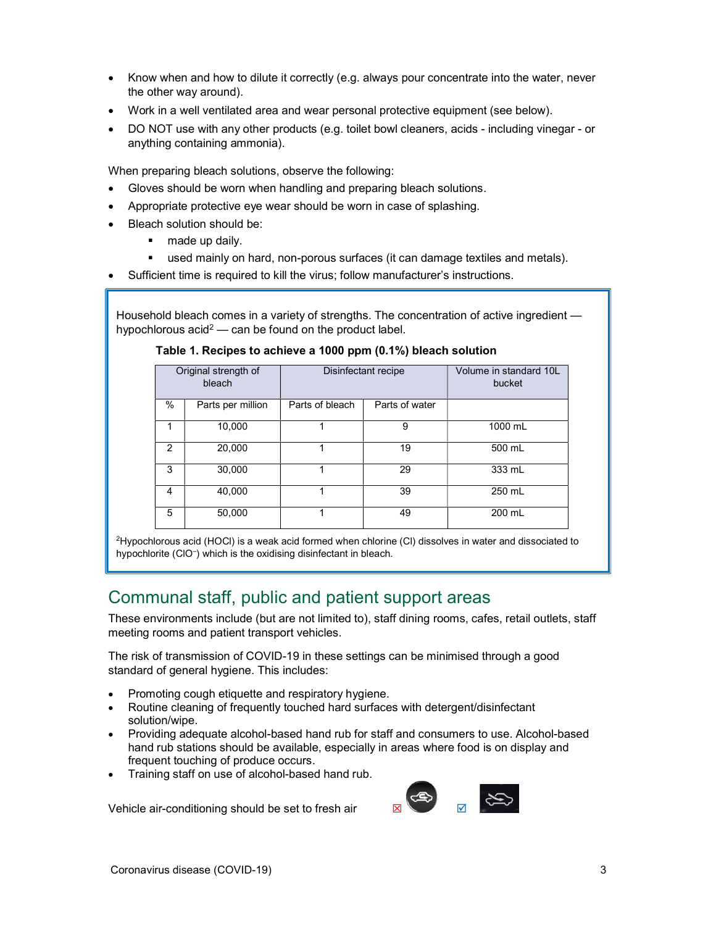- Know when and how to dilute it correctly (e.g. always pour concentrate into the water, never the other way around).
- Work in a well ventilated area and wear personal protective equipment (see below).
- DO NOT use with any other products (e.g. toilet bowl cleaners, acids including vinegar or anything containing ammonia).

When preparing bleach solutions, observe the following:

- Gloves should be worn when handling and preparing bleach solutions.
- Appropriate protective eye wear should be worn in case of splashing.
- Bleach solution should be:
	- **made up daily.**
	- used mainly on hard, non-porous surfaces (it can damage textiles and metals).
- Sufficient time is required to kill the virus; follow manufacturer's instructions.

Household bleach comes in a variety of strengths. The concentration of active ingredient hypochlorous acid<sup>2</sup> — can be found on the product label.

#### Table 1. Recipes to achieve a 1000 ppm (0.1%) bleach solution

| Original strength of<br>bleach |                   | Disinfectant recipe |                | Volume in standard 10L<br>bucket |
|--------------------------------|-------------------|---------------------|----------------|----------------------------------|
| $\%$                           | Parts per million | Parts of bleach     | Parts of water |                                  |
| 1                              | 10,000            |                     | 9              | 1000 mL                          |
| 2                              | 20,000            |                     | 19             | 500 mL                           |
| 3                              | 30,000            |                     | 29             | 333 mL                           |
| 4                              | 40,000            |                     | 39             | 250 mL                           |
| 5                              | 50,000            |                     | 49             | 200 mL                           |

<sup>2</sup>Hypochlorous acid (HOCl) is a weak acid formed when chlorine (Cl) dissolves in water and dissociated to hypochlorite (ClO– ) which is the oxidising disinfectant in bleach.

### Communal staff, public and patient support areas

These environments include (but are not limited to), staff dining rooms, cafes, retail outlets, staff meeting rooms and patient transport vehicles.

The risk of transmission of COVID-19 in these settings can be minimised through a good standard of general hygiene. This includes:

- Promoting cough etiquette and respiratory hygiene.
- Routine cleaning of frequently touched hard surfaces with detergent/disinfectant solution/wipe.
- Providing adequate alcohol-based hand rub for staff and consumers to use. Alcohol-based hand rub stations should be available, especially in areas where food is on display and frequent touching of produce occurs.
- Training staff on use of alcohol-based hand rub.

Vehicle air-conditioning should be set to fresh air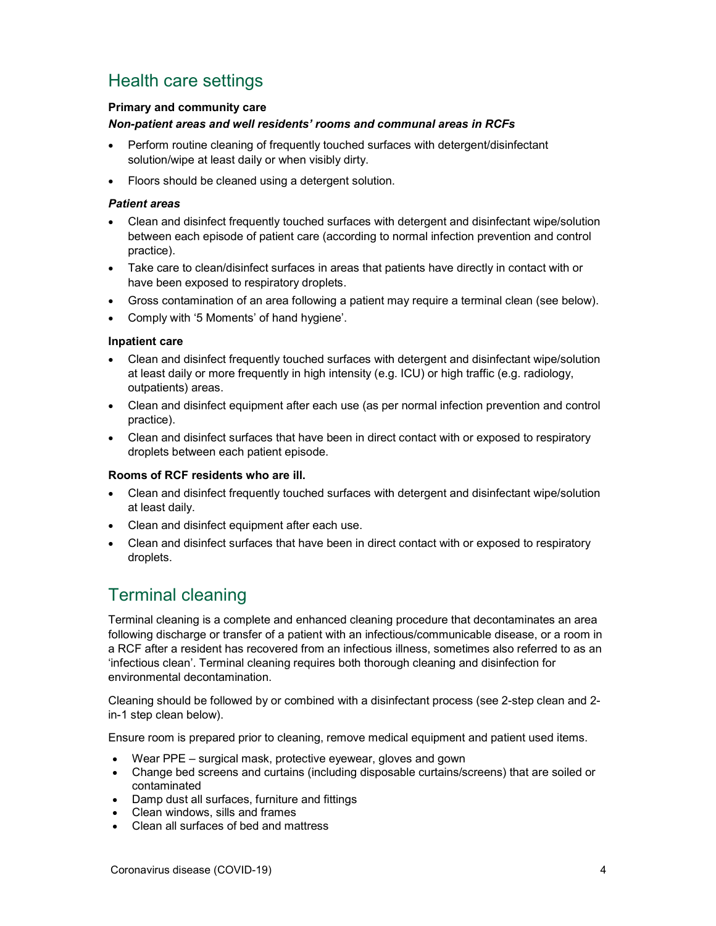## Health care settings

#### Primary and community care

#### Non-patient areas and well residents' rooms and communal areas in RCFs

- Perform routine cleaning of frequently touched surfaces with detergent/disinfectant solution/wipe at least daily or when visibly dirty.
- Floors should be cleaned using a detergent solution.

#### Patient areas

- Clean and disinfect frequently touched surfaces with detergent and disinfectant wipe/solution between each episode of patient care (according to normal infection prevention and control practice).
- Take care to clean/disinfect surfaces in areas that patients have directly in contact with or have been exposed to respiratory droplets.
- Gross contamination of an area following a patient may require a terminal clean (see below).
- Comply with '5 Moments' of hand hygiene'.

#### Inpatient care

- Clean and disinfect frequently touched surfaces with detergent and disinfectant wipe/solution at least daily or more frequently in high intensity (e.g. ICU) or high traffic (e.g. radiology, outpatients) areas.
- Clean and disinfect equipment after each use (as per normal infection prevention and control practice).
- Clean and disinfect surfaces that have been in direct contact with or exposed to respiratory droplets between each patient episode.

#### Rooms of RCF residents who are ill.

- Clean and disinfect frequently touched surfaces with detergent and disinfectant wipe/solution at least daily.
- Clean and disinfect equipment after each use.
- Clean and disinfect surfaces that have been in direct contact with or exposed to respiratory droplets.

### Terminal cleaning

Terminal cleaning is a complete and enhanced cleaning procedure that decontaminates an area following discharge or transfer of a patient with an infectious/communicable disease, or a room in a RCF after a resident has recovered from an infectious illness, sometimes also referred to as an 'infectious clean'. Terminal cleaning requires both thorough cleaning and disinfection for environmental decontamination.

Cleaning should be followed by or combined with a disinfectant process (see 2-step clean and 2 in-1 step clean below).

Ensure room is prepared prior to cleaning, remove medical equipment and patient used items.

- Wear PPE surgical mask, protective eyewear, gloves and gown
- Change bed screens and curtains (including disposable curtains/screens) that are soiled or contaminated
- Damp dust all surfaces, furniture and fittings
- Clean windows, sills and frames
- Clean all surfaces of bed and mattress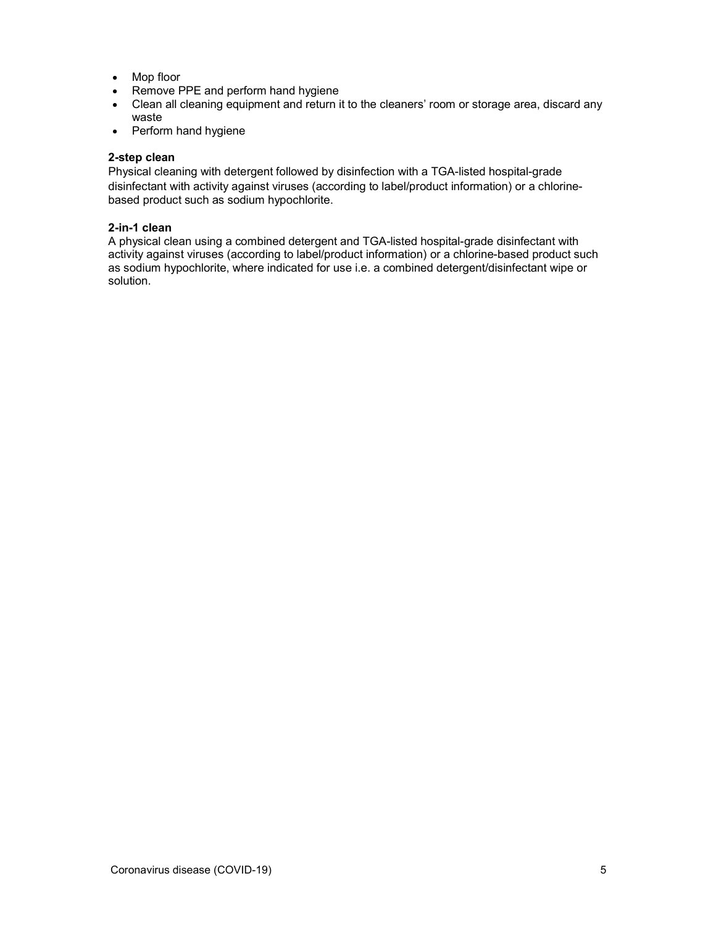- Mop floor
- Remove PPE and perform hand hygiene
- Clean all cleaning equipment and return it to the cleaners' room or storage area, discard any waste
- Perform hand hygiene

#### 2-step clean

Physical cleaning with detergent followed by disinfection with a TGA-listed hospital-grade disinfectant with activity against viruses (according to label/product information) or a chlorinebased product such as sodium hypochlorite.

#### 2-in-1 clean

A physical clean using a combined detergent and TGA-listed hospital-grade disinfectant with activity against viruses (according to label/product information) or a chlorine-based product such as sodium hypochlorite, where indicated for use i.e. a combined detergent/disinfectant wipe or solution.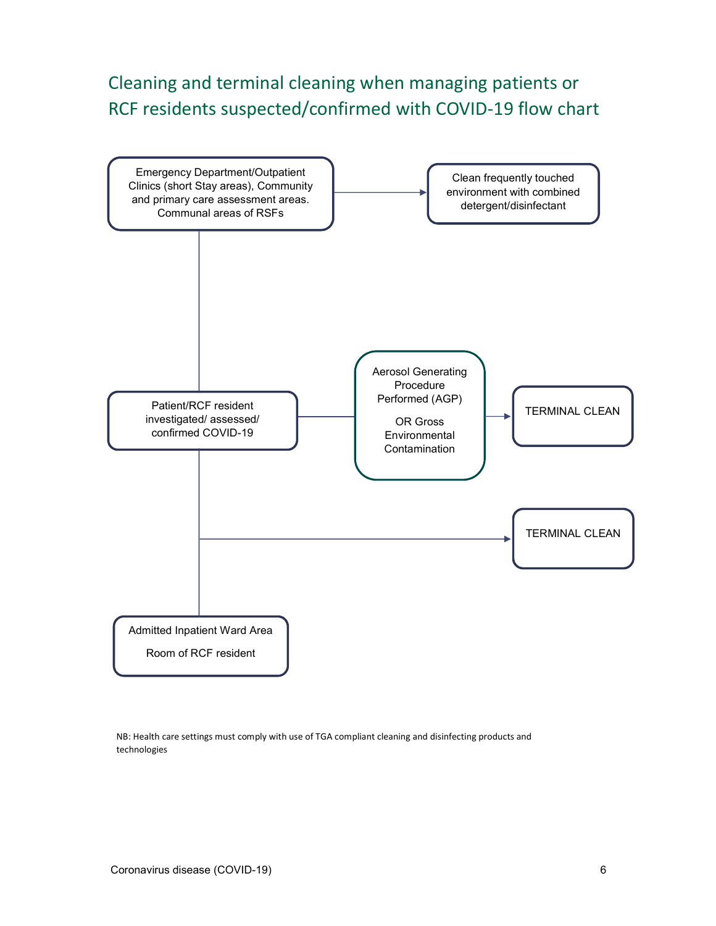## Cleaning and terminal cleaning when managing patients or RCF residents suspected/confirmed with COVID-19 flow chart



NB: Health care settings must comply with use of TGA compliant cleaning and disinfecting products and technologies